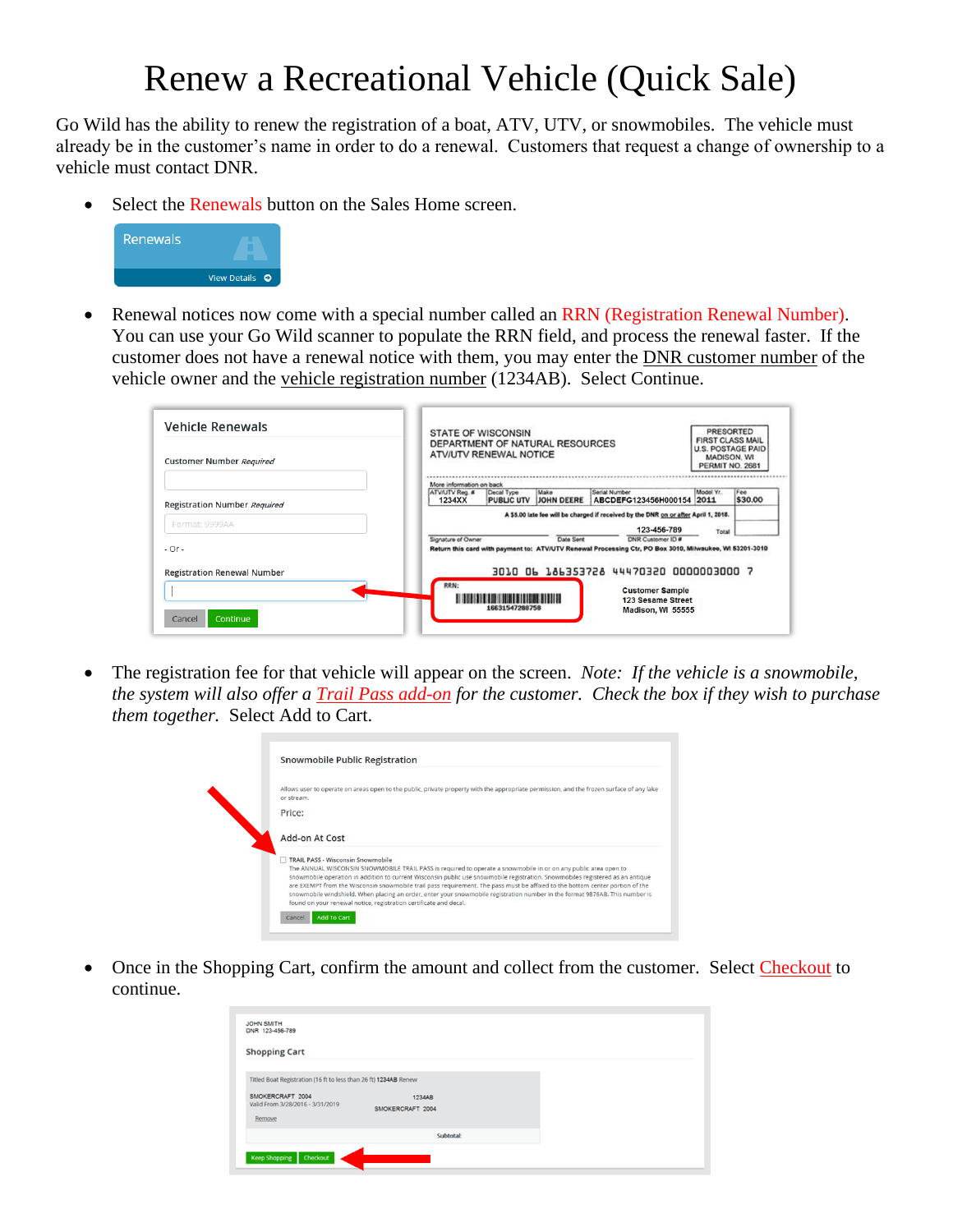## Renew a Recreational Vehicle (Quick Sale)

Go Wild has the ability to renew the registration of a boat, ATV, UTV, or snowmobiles. The vehicle must already be in the customer's name in order to do a renewal. Customers that request a change of ownership to a vehicle must contact DNR.

• Select the Renewals button on the Sales Home screen.



• Renewal notices now come with a special number called an RRN (Registration Renewal Number). You can use your Go Wild scanner to populate the RRN field, and process the renewal faster. If the customer does not have a renewal notice with them, you may enter the DNR customer number of the vehicle owner and the vehicle registration number (1234AB). Select Continue.

| <b>Vehicle Renewals</b>            | <b>PRESORTED</b><br><b>STATE OF WISCONSIN</b><br><b>FIRST CLASS MAIL</b><br>DEPARTMENT OF NATURAL RESOURCES<br><b>U.S. POSTAGE PAID</b><br>ATV/UTV RENEWAL NOTICE<br><b>MADISON, WI</b><br>PERMIT NO. 2681 |  |  |
|------------------------------------|------------------------------------------------------------------------------------------------------------------------------------------------------------------------------------------------------------|--|--|
| Customer Number Required           |                                                                                                                                                                                                            |  |  |
|                                    | More information on back                                                                                                                                                                                   |  |  |
| Registration Number Required       | Model Yr.<br>Serial Number<br>Fee<br>ATV/UTV Reg. #<br>Make<br>Decal Type<br>\$30.00<br>PUBLIC UTV JJOHN DEERE<br>ABCDEFG123456H000154 2011<br>1234XX                                                      |  |  |
|                                    | A \$5.00 late fee will be charged if received by the DNR on or after April 1, 2018.                                                                                                                        |  |  |
| Format: 9999AA                     | 123-456-789<br>Total                                                                                                                                                                                       |  |  |
| $-Or -$                            | DNR Customer ID #<br>Signature of Owner<br>Date Sent<br>Return this card with payment to: ATV/UTV Renewal Processing Ctr, PO Box 3010, Milwaukee, WI 53201-3010                                            |  |  |
| <b>Registration Renewal Number</b> | 3010 06 186353728 44470320 0000003000 7                                                                                                                                                                    |  |  |
|                                    | RRN:<br><b>Customer Sample</b><br>,,,,,,,,,,,,,,,,,,,,,,,,                                                                                                                                                 |  |  |
|                                    | 123 Sesame Street<br>16631547288758<br>Madison, WI 55555                                                                                                                                                   |  |  |

• The registration fee for that vehicle will appear on the screen. *Note: If the vehicle is a snowmobile, the system will also offer a Trail Pass add-on for the customer. Check the box if they wish to purchase them together.* Select Add to Cart.

| Allows user to operate on areas open to the public, private property with the appropriate permission, and the frozen surface of any lake<br>or stream. |
|--------------------------------------------------------------------------------------------------------------------------------------------------------|
| Price:                                                                                                                                                 |
| Add-on At Cost                                                                                                                                         |
|                                                                                                                                                        |

• Once in the Shopping Cart, confirm the amount and collect from the customer. Select Checkout to continue.

| <b>JOHN SMITH</b><br>DNR 123-456-789                                                                                               |                            |  |
|------------------------------------------------------------------------------------------------------------------------------------|----------------------------|--|
| <b>Shopping Cart</b>                                                                                                               |                            |  |
| Titled Boat Registration (16 ft to less than 26 ft) 1234AB Renew<br>SMOKERCRAFT 2004<br>Valid From 3/28/2016 - 3/31/2019<br>Remove | 1234AB<br>SMOKERCRAFT 2004 |  |
|                                                                                                                                    | <b>Subtotal:</b>           |  |
| Keep Shopping Checkout                                                                                                             |                            |  |